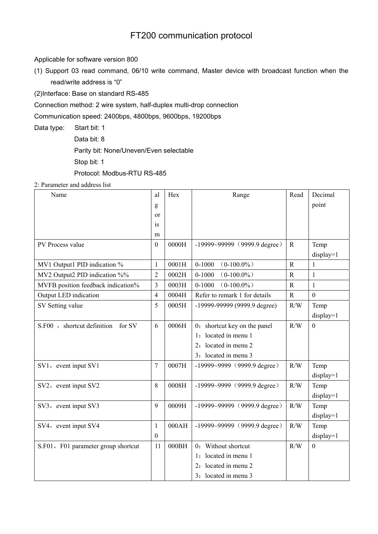## FT200 communication protocol

Applicable for software version 800

(1) Support 03 read command, 06/10 write command, Master device with broadcast function when the read/write address is "0"

(2)Interface: Base on standard RS-485

Connection method: 2 wire system, half-duplex multi-drop connection

Communication speed: 2400bps, 4800bps, 9600bps, 19200bps

Data type: Start bit: 1

Data bit: 8

Parity bit: None/Uneven/Even selectable

Stop bit: 1

Protocol: Modbus-RTU RS-485

2: Parameter and address list

| Name                                 | al               | Hex   | Range                            | Read           | Decimal          |
|--------------------------------------|------------------|-------|----------------------------------|----------------|------------------|
|                                      | g                |       |                                  |                | point            |
|                                      | or               |       |                                  |                |                  |
|                                      | is               |       |                                  |                |                  |
|                                      | m                |       |                                  |                |                  |
| PV Process value                     | $\overline{0}$   | 0000H | $-19999 - 99999$ (9999.9 degree) | $\mathbf R$    | Temp             |
|                                      |                  |       |                                  |                | display=1        |
| MV1 Output1 PID indication %         | $\mathbf{1}$     | 0001H | $0 - 1000$<br>$(0-100.0\%)$      | $\overline{R}$ | $\mathbf{1}$     |
| MV2 Output2 PID indication %%        | $\overline{2}$   | 0002H | $0 - 1000$<br>$(0-100.0\%)$      | $\mathbf R$    | $\mathbf{1}$     |
| MVFB position feedback indication%   | 3                | 0003H | $0 - 1000$<br>$(0-100.0\%)$      | $\mathbb{R}$   | 1                |
| Output LED indication                | $\overline{4}$   | 0004H | Refer to remark 1 for details    | $\mathbf R$    | $\boldsymbol{0}$ |
| SV Setting value                     | 5                | 0005H | -19999-99999 (9999.9 degree)     | R/W            | Temp             |
|                                      |                  |       |                                  |                | $display=1$      |
| S.F00, shortcut definition<br>for SV | 6                | 0006H | 0: shortcut key on the panel     | R/W            | $\boldsymbol{0}$ |
|                                      |                  |       | located in menu 1<br>1:          |                |                  |
|                                      |                  |       | located in menu 2                |                |                  |
|                                      |                  |       | 3: located in menu 3             |                |                  |
| SV1, event input SV1                 | 7                | 0007H | $-19999-9999$ (9999.9 degree)    | R/W            | Temp             |
|                                      |                  |       |                                  |                | $display=1$      |
| SV2, event input SV2                 | 8                | 0008H | $-19999-9999$ (9999.9 degree)    | R/W            | Temp             |
|                                      |                  |       |                                  |                | $display=1$      |
| SV3, event input SV3                 | 9                | 0009H | $-19999 - 99999$ (9999.9 degree) | R/W            | Temp             |
|                                      |                  |       |                                  |                | $display=1$      |
| SV4, event input SV4                 | $\mathbf{1}$     | 000AH | $-19999-99999$ (9999.9 degree)   | R/W            | Temp             |
|                                      | $\boldsymbol{0}$ |       |                                  |                | $display=1$      |
| S.F01, F01 parameter group shortcut  | 11               | 000BH | 0: Without shortcut              | R/W            | $\overline{0}$   |
|                                      |                  |       | located in menu 1<br>1:          |                |                  |
|                                      |                  |       | located in menu 2<br>2:          |                |                  |
|                                      |                  |       | 3: located in menu 3             |                |                  |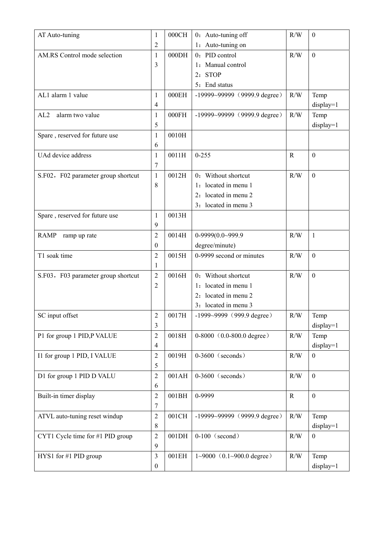| AT Auto-tuning                      | $\mathbf{1}$             | 000CH | 0: Auto-tuning off                      | R/W          | $\boldsymbol{0}$ |
|-------------------------------------|--------------------------|-------|-----------------------------------------|--------------|------------------|
|                                     | $\overline{2}$           |       | 1: Auto-tuning on                       |              |                  |
| AM.RS Control mode selection        | 1                        | 000DH | 0: PID control                          | R/W          | $\mathbf{0}$     |
|                                     | 3                        |       | 1: Manual control                       |              |                  |
|                                     |                          |       | 2: STOP                                 |              |                  |
|                                     |                          |       | 5: End status                           |              |                  |
| AL1 alarm 1 value                   | 1                        | 000EH | $-19999 - 99999$ (9999.9 degree)        | R/W          | Temp             |
|                                     | 4                        |       |                                         |              | display=1        |
| alarm two value<br>AL2              | $\mathbf{1}$             | 000FH | $-19999-99999$ (9999.9 degree)          | R/W          | Temp             |
|                                     | 5                        |       |                                         |              | display=1        |
| Spare, reserved for future use      | $\mathbf{1}$             | 0010H |                                         |              |                  |
|                                     | 6                        |       |                                         |              |                  |
| UAd device address                  | 1                        | 0011H | $0 - 255$                               | $\mathbb{R}$ | $\boldsymbol{0}$ |
|                                     | 7                        |       |                                         |              |                  |
| S.F02, F02 parameter group shortcut | $\mathbf{1}$             | 0012H | 0: Without shortcut                     | R/W          | $\boldsymbol{0}$ |
|                                     | 8                        |       | 1: located in menu 1                    |              |                  |
|                                     |                          |       | 2: located in menu 2                    |              |                  |
|                                     |                          |       | 3: located in menu 3                    |              |                  |
| Spare, reserved for future use      | 1                        | 0013H |                                         |              |                  |
|                                     | 9                        |       |                                         |              |                  |
| <b>RAMP</b><br>ramp up rate         | $\overline{2}$           | 0014H | 0-9999(0.0~999.9                        | R/W          | $\mathbf{1}$     |
|                                     | 0                        |       | degree/minute)                          |              |                  |
| T1 soak time                        | $\overline{2}$           | 0015H | 0-9999 second or minutes                | R/W          | $\boldsymbol{0}$ |
|                                     | 1                        |       |                                         |              |                  |
| S.F03, F03 parameter group shortcut | $\overline{2}$           | 0016H | 0: Without shortcut                     | R/W          | $\mathbf{0}$     |
|                                     | $\overline{c}$           |       | 1: located in menu 1                    |              |                  |
|                                     |                          |       | located in menu 2<br>2:                 |              |                  |
|                                     |                          |       | 3: located in menu 3                    |              |                  |
| SC input offset                     | $\overline{2}$           | 0017H | $-1999-9999$ (999.9 degree)             | R/W          | Temp             |
|                                     | 3                        |       |                                         |              | display=1        |
| P1 for group 1 PID,P VALUE          | $\overline{2}$           | 0018H | $0-8000$ (0.0-800.0 degree)             | R/W          | Temp             |
|                                     | $\overline{\mathcal{A}}$ |       |                                         |              | $display=1$      |
| I1 for group 1 PID, I VALUE         | $\overline{2}$           | 0019H | $0-3600$ (seconds)                      | R/W          | $\boldsymbol{0}$ |
|                                     | 5                        |       |                                         |              |                  |
| D1 for group 1 PID D VALU           | $\overline{2}$           | 001AH | $0-3600$ (seconds)                      | R/W          | $\boldsymbol{0}$ |
|                                     | 6                        |       |                                         |              |                  |
| Built-in timer display              | $\overline{2}$           | 001BH | 0-9999                                  | $\mathbf R$  | $\boldsymbol{0}$ |
|                                     | 7                        |       |                                         |              |                  |
| ATVL auto-tuning reset windup       | $\overline{2}$           | 001CH | $-19999 - 99999$ (9999.9 degree)        | R/W          | Temp             |
|                                     | 8                        |       |                                         |              | $display=1$      |
| CYT1 Cycle time for #1 PID group    | $\overline{2}$           | 001DH | $0-100$ (second)                        | R/W          | $\boldsymbol{0}$ |
|                                     | 9                        |       |                                         |              |                  |
| HYS1 for #1 PID group               | 3                        | 001EH | $1 \sim 9000$ (0.1 $\sim 900.0$ degree) | R/W          | Temp             |
|                                     | $\boldsymbol{0}$         |       |                                         |              | $display=1$      |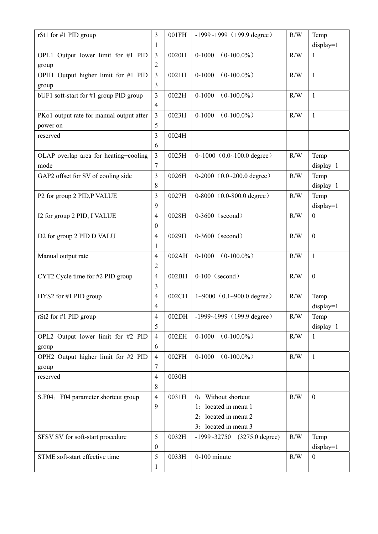| rSt1 for #1 PID group                      | 3                        | 001FH | $-1999-1999$ (199.9 degree)             | R/W | Temp                |
|--------------------------------------------|--------------------------|-------|-----------------------------------------|-----|---------------------|
|                                            | 1                        |       |                                         |     | $display=1$         |
| OPL1 Output lower limit for #1 PID         | $\overline{3}$           | 0020H | $0 - 1000$<br>$(0-100.0\%)$             | R/W | 1                   |
| group                                      | 2                        |       |                                         |     |                     |
| OPH1 Output higher limit for #1 PID        | $\overline{3}$           | 0021H | $(0-100.0\%)$<br>$0 - 1000$             | R/W | $\mathbf{1}$        |
| group                                      | 3                        |       |                                         |     |                     |
| bUF1 soft-start for #1 group PID group     | $\overline{3}$           | 0022H | $0 - 1000$<br>$(0-100.0\%)$             | R/W | $\mathbf{1}$        |
|                                            | $\overline{\mathcal{A}}$ |       |                                         |     |                     |
| PKo1 output rate for manual output after   | 3                        | 0023H | $(0-100.0\%)$<br>$0 - 1000$             | R/W | 1                   |
| power on                                   | 5                        |       |                                         |     |                     |
| reserved                                   | 3                        | 0024H |                                         |     |                     |
|                                            | 6                        |       |                                         |     |                     |
| OLAP overlap area for heating+cooling      | 3                        | 0025H | $0 \sim 1000$ (0.0 $\sim$ 100.0 degree) | R/W | Temp                |
| mode<br>GAP2 offset for SV of cooling side | 7<br>3                   | 0026H | $0-2000$ $(0.0-200.0$ degree)           | R/W | $display=1$<br>Temp |
|                                            | 8                        |       |                                         |     | display=1           |
| P2 for group 2 PID, P VALUE                | 3                        | 0027H | $0-8000$ (0.0-800.0 degree)             | R/W | Temp                |
|                                            | 9                        |       |                                         |     | display=1           |
| I2 for group 2 PID, I VALUE                | $\overline{4}$           | 0028H | $0-3600$ (second)                       | R/W | $\boldsymbol{0}$    |
|                                            | $\boldsymbol{0}$         |       |                                         |     |                     |
| D2 for group 2 PID D VALU                  | $\overline{4}$           | 0029H | $0-3600$ (second)                       | R/W | $\boldsymbol{0}$    |
|                                            | 1                        |       |                                         |     |                     |
| Manual output rate                         | 4                        | 002AH | $0 - 1000$<br>$(0-100.0\%)$             | R/W | 1                   |
|                                            | $\overline{2}$           |       |                                         |     |                     |
| CYT2 Cycle time for #2 PID group           | $\overline{4}$           | 002BH | $0-100$ (second)                        | R/W | $\mathbf{0}$        |
|                                            | 3                        |       |                                         |     |                     |
| $HYS2$ for #1 PID group                    | $\overline{4}$           | 002CH | $1 \sim 9000$ (0.1 $\sim 900.0$ degree) | R/W | Temp                |
|                                            | 4                        |       |                                         |     | $display=1$         |
| rSt2 for #1 PID group                      | 4                        | 002DH | $-1999-1999$ (199.9 degree)             | R/W | Temp                |
|                                            | 5                        |       |                                         |     | display=1           |
| OPL2 Output lower limit for #2 PID         | $\overline{4}$           | 002EH | $(0-100.0\%)$<br>$0 - 1000$             | R/W | $\mathbf{1}$        |
| group                                      | 6                        |       |                                         |     |                     |
| OPH2 Output higher limit for #2 PID        | 4                        | 002FH | $0 - 1000$<br>$(0-100.0\%)$             | R/W | 1                   |
| group                                      | 7                        |       |                                         |     |                     |
| reserved                                   | $\overline{4}$<br>8      | 0030H |                                         |     |                     |
| S.F04, F04 parameter shortcut group        | $\overline{4}$           | 0031H | 0: Without shortcut                     | R/W | $\boldsymbol{0}$    |
|                                            | 9                        |       | 1: located in menu 1                    |     |                     |
|                                            |                          |       | 2: located in menu 2                    |     |                     |
|                                            |                          |       | 3: located in menu 3                    |     |                     |
| SFSV SV for soft-start procedure           | 5                        | 0032H | $-1999 - 32750$<br>$(3275.0$ degree)    | R/W | Temp                |
|                                            | $\boldsymbol{0}$         |       |                                         |     | $display=1$         |
| STME soft-start effective time             | 5                        | 0033H | $0-100$ minute                          | R/W | $\boldsymbol{0}$    |
|                                            | 1                        |       |                                         |     |                     |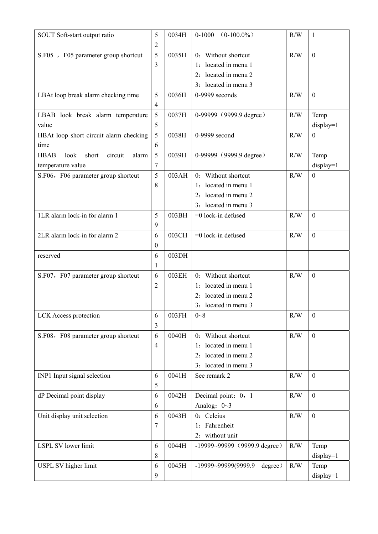| SOUT Soft-start output ratio                     | 5              | 0034H | $0 - 1000$<br>$(0-100.0\%)$    | R/W | $\mathbf{1}$     |
|--------------------------------------------------|----------------|-------|--------------------------------|-----|------------------|
|                                                  | 2              |       |                                |     |                  |
| S.F05 , F05 parameter group shortcut             | 5              | 0035H | 0: Without shortcut            | R/W | $\overline{0}$   |
|                                                  | 3              |       | 1: located in menu 1           |     |                  |
|                                                  |                |       | 2: located in menu 2           |     |                  |
|                                                  |                |       | 3: located in menu 3           |     |                  |
| LBAt loop break alarm checking time              | 5              | 0036H | $0-9999$ seconds               | R/W | $\boldsymbol{0}$ |
|                                                  | $\overline{4}$ |       |                                |     |                  |
| LBAB look break alarm temperature                | 5              | 0037H | 0-99999 (9999.9 degree)        | R/W | Temp             |
| value                                            | 5              |       |                                |     | $display=1$      |
| HBAt loop short circuit alarm checking           | 5              | 0038H | 0-9999 second                  | R/W | $\mathbf{0}$     |
| time                                             | 6              |       |                                |     |                  |
| look<br>short<br>circuit<br><b>HBAB</b><br>alarm | 5              | 0039H | 0-99999 (9999.9 degree)        | R/W | Temp             |
| temperature value                                | 7              |       |                                |     | $display=1$      |
| S.F06, F06 parameter group shortcut              | 5              | 003AH | 0: Without shortcut            | R/W | $\boldsymbol{0}$ |
|                                                  | 8              |       | 1: located in menu 1           |     |                  |
|                                                  |                |       | 2: located in menu 2           |     |                  |
|                                                  |                |       | 3: located in menu 3           |     |                  |
| 1LR alarm lock-in for alarm 1                    | 5              | 003BH | $=0$ lock-in defused           | R/W | $\boldsymbol{0}$ |
|                                                  | 9              |       |                                |     |                  |
| 2LR alarm lock-in for alarm 2                    | 6              | 003CH | $=0$ lock-in defused           | R/W | $\boldsymbol{0}$ |
|                                                  | $\mathbf{0}$   |       |                                |     |                  |
| reserved                                         | 6              | 003DH |                                |     |                  |
|                                                  | 1              |       |                                |     |                  |
| S.F07, F07 parameter group shortcut              | 6              | 003EH | 0: Without shortcut            | R/W | $\boldsymbol{0}$ |
|                                                  | 2              |       | 1: located in menu 1           |     |                  |
|                                                  |                |       | 2: located in menu 2           |     |                  |
|                                                  |                |       | 3: located in menu 3           |     |                  |
| LCK Access protection                            | 6              | 003FH | $0 - 8$                        | R/W | $\boldsymbol{0}$ |
|                                                  | 3              |       |                                |     |                  |
| S.F08, F08 parameter group shortcut              | 6              | 0040H | 0: Without shortcut            | R/W | $\boldsymbol{0}$ |
|                                                  | $\overline{4}$ |       | 1: located in menu 1           |     |                  |
|                                                  |                |       | 2: located in menu 2           |     |                  |
|                                                  |                |       | 3: located in menu 3           |     |                  |
| INP1 Input signal selection                      | 6              | 0041H | See remark 2                   | R/W | $\boldsymbol{0}$ |
|                                                  | 5              |       |                                |     |                  |
| dP Decimal point display                         | 6              | 0042H | Decimal point: 0, 1            | R/W | $\boldsymbol{0}$ |
|                                                  | 6              |       | Analog: $0 \sim 3$             |     |                  |
| Unit display unit selection                      | 6              | 0043H | 0: Celcius                     | R/W | $\boldsymbol{0}$ |
|                                                  | 7              |       | 1: Fahrenheit                  |     |                  |
|                                                  |                |       | 2: without unit                |     |                  |
| LSPL SV lower limit                              | 6              | 0044H | $-19999-99999$ (9999.9 degree) | R/W | Temp             |
|                                                  | 8              |       |                                |     | $display=1$      |
| USPL SV higher limit                             | 6              | 0045H | -19999~99999(9999.9<br>degree) | R/W | Temp             |
|                                                  | 9              |       |                                |     | display=1        |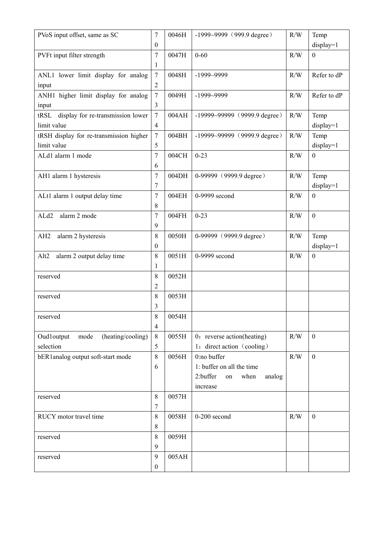| PVoS input offset, same as SC             | 7                        | 0046H | $-1999-9999$ (999.9 degree)      | R/W | Temp             |
|-------------------------------------------|--------------------------|-------|----------------------------------|-----|------------------|
|                                           | $\mathbf{0}$             |       |                                  |     | display=1        |
| PVFt input filter strength                | 7                        | 0047H | $0 - 60$                         | R/W | $\mathbf{0}$     |
|                                           | 1                        |       |                                  |     |                  |
| ANL1 lower limit display for analog       | $\overline{7}$           | 0048H | $-1999-9999$                     | R/W | Refer to dP      |
| input                                     | $\overline{2}$           |       |                                  |     |                  |
| ANH1 higher limit display for analog      | $\tau$                   | 0049H | $-1999-9999$                     | R/W | Refer to dP      |
| input                                     | 3                        |       |                                  |     |                  |
| display for re-transmission lower<br>tRSL | $\overline{7}$           | 004AH | $-19999 - 99999$ (9999.9 degree) | R/W | Temp             |
| limit value                               | $\overline{\mathcal{A}}$ |       |                                  |     | $display=1$      |
| tRSH display for re-transmission higher   | $\tau$                   | 004BH | $-19999 - 99999$ (9999.9 degree) | R/W | Temp             |
| limit value                               | 5                        |       |                                  |     | display=1        |
| ALd1 alarm 1 mode                         | $\overline{7}$           | 004CH | $0 - 23$                         | R/W | $\boldsymbol{0}$ |
|                                           | 6                        |       |                                  |     |                  |
| AH1 alarm 1 hysteresis                    | $\tau$                   | 004DH | 0-99999 (9999.9 degree)          | R/W | Temp             |
|                                           | 7                        |       |                                  |     | $display=1$      |
| ALt1 alarm 1 output delay time            | 7                        | 004EH | 0-9999 second                    | R/W | $\boldsymbol{0}$ |
|                                           | 8                        |       |                                  |     |                  |
| ALd2<br>alarm 2 mode                      | 7                        | 004FH | $0 - 23$                         | R/W | $\boldsymbol{0}$ |
|                                           | 9                        |       |                                  |     |                  |
| AH2<br>alarm 2 hysteresis                 | 8                        | 0050H | 0-99999 (9999.9 degree)          | R/W | Temp             |
|                                           | 0                        |       |                                  |     | $display=1$      |
| alarm 2 output delay time<br>Alt2         | 8                        | 0051H | 0-9999 second                    | R/W | $\boldsymbol{0}$ |
| reserved                                  | 1<br>8                   | 0052H |                                  |     |                  |
|                                           | 2                        |       |                                  |     |                  |
| reserved                                  | 8                        | 0053H |                                  |     |                  |
|                                           | 3                        |       |                                  |     |                  |
| reserved                                  | 8                        | 0054H |                                  |     |                  |
|                                           | 4                        |       |                                  |     |                  |
| (heating/cooling)<br>Oudloutput<br>mode   | 8                        | 0055H | 0: reverse action(heating)       | R/W | $\boldsymbol{0}$ |
| selection                                 | 5                        |       | 1: direct action (cooling)       |     |                  |
| bER1analog output soft-start mode         | 8                        | 0056H | 0:no buffer                      | R/W | $\boldsymbol{0}$ |
|                                           | 6                        |       | 1: buffer on all the time        |     |                  |
|                                           |                          |       | 2:buffer<br>when<br>analog<br>on |     |                  |
|                                           |                          |       | increase                         |     |                  |
| reserved                                  | 8                        | 0057H |                                  |     |                  |
|                                           | 7                        |       |                                  |     |                  |
| RUCY motor travel time                    | 8                        | 0058H | $0-200$ second                   | R/W | $\mathbf{0}$     |
|                                           | 8                        |       |                                  |     |                  |
| reserved                                  | 8                        | 0059H |                                  |     |                  |
|                                           | 9                        |       |                                  |     |                  |
| reserved                                  | 9                        | 005AH |                                  |     |                  |
|                                           | $\boldsymbol{0}$         |       |                                  |     |                  |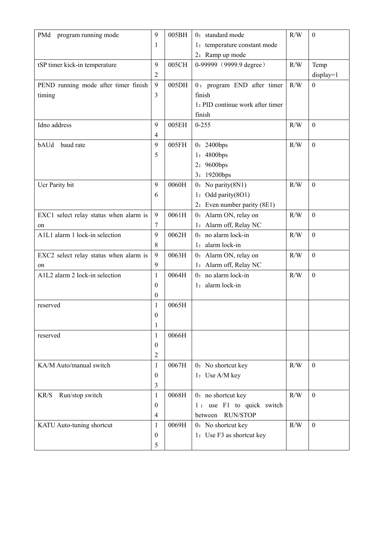| PMd<br>program running mode            | 9                | 005BH | 0: standard mode                 | R/W | $\boldsymbol{0}$ |
|----------------------------------------|------------------|-------|----------------------------------|-----|------------------|
|                                        | 1                |       | 1: temperature constant mode     |     |                  |
|                                        |                  |       | 2: Ramp up mode                  |     |                  |
| tSP timer kick-in temperature          | 9                | 005CH | 0-99999 (9999.9 degree)          | R/W | Temp             |
|                                        | $\overline{2}$   |       |                                  |     | $display=1$      |
| PEND running mode after timer finish   | 9                | 005DH | 0: program END after timer       | R/W | $\boldsymbol{0}$ |
| timing                                 | 3                |       | finish                           |     |                  |
|                                        |                  |       | 1: PID continue work after timer |     |                  |
|                                        |                  |       | finish                           |     |                  |
| Idno address                           | 9                | 005EH | $0 - 255$                        | R/W | $\boldsymbol{0}$ |
|                                        | $\overline{4}$   |       |                                  |     |                  |
| bAUd<br>baud rate                      | 9                | 005FH | 0: 2400bps                       | R/W | $\boldsymbol{0}$ |
|                                        | 5                |       | 4800bps<br>$\mathbf{l}$ :        |     |                  |
|                                        |                  |       | 9600bps<br>2:                    |     |                  |
|                                        |                  |       | $19200$ bps<br>3:                |     |                  |
| Ucr Parity bit                         | 9                | 0060H | $0:$ No parity $(8N1)$           | R/W | $\boldsymbol{0}$ |
|                                        | 6                |       | Odd parity(8O1)<br>l:            |     |                  |
|                                        |                  |       | 2: Even number parity (8E1)      |     |                  |
| EXC1 select relay status when alarm is | 9                | 0061H | 0: Alarm ON, relay on            | R/W | $\boldsymbol{0}$ |
| on                                     | 7                |       | 1: Alarm off, Relay NC           |     |                  |
| A1L1 alarm 1 lock-in selection         | 9                | 0062H | 0: no alarm lock-in              | R/W | $\boldsymbol{0}$ |
|                                        | 8                |       | 1: alarm lock-in                 |     |                  |
| EXC2 select relay status when alarm is | 9                | 0063H | 0: Alarm ON, relay on            | R/W | $\boldsymbol{0}$ |
| on                                     | 9                |       | 1: Alarm off, Relay NC           |     |                  |
| A1L2 alarm 2 lock-in selection         | 1                | 0064H | $0:$ no alarm lock-in            | R/W | $\boldsymbol{0}$ |
|                                        | $\theta$         |       | 1: alarm lock-in                 |     |                  |
|                                        | $\mathbf{0}$     |       |                                  |     |                  |
| reserved                               | 1                | 0065H |                                  |     |                  |
|                                        | $\boldsymbol{0}$ |       |                                  |     |                  |
|                                        | 1                |       |                                  |     |                  |
| reserved                               | 1                | 0066H |                                  |     |                  |
|                                        | $\theta$         |       |                                  |     |                  |
|                                        | $\overline{2}$   |       |                                  |     |                  |
| KA/M Auto/manual switch                | $\mathbf{1}$     | 0067H | 0: No shortcut key               | R/W | $\boldsymbol{0}$ |
|                                        | $\mathbf{0}$     |       | 1: Use A/M key                   |     |                  |
|                                        | 3                |       |                                  |     |                  |
| Run/stop switch<br>$\rm KR/S$          | 1                | 0068H | 0: no shortcut key               | R/W | $\boldsymbol{0}$ |
|                                        | $\mathbf{0}$     |       | 1: use F1 to quick switch        |     |                  |
|                                        | $\overline{4}$   |       | <b>RUN/STOP</b><br>between       |     |                  |
| KATU Auto-tuning shortcut              | $\mathbf{1}$     | 0069H | 0: No shortcut key               | R/W | $\boldsymbol{0}$ |
|                                        | $\theta$         |       | 1: Use F3 as shortcut key        |     |                  |
|                                        | 5                |       |                                  |     |                  |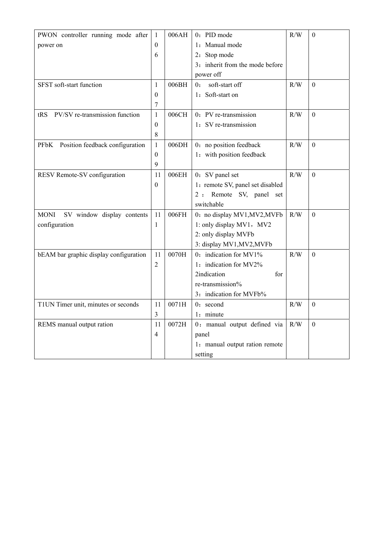| PWON controller running mode after             | 1              | 006AH | 0: PID mode                      | R/W       | $\boldsymbol{0}$ |
|------------------------------------------------|----------------|-------|----------------------------------|-----------|------------------|
| power on                                       | $\theta$       |       | 1: Manual mode                   |           |                  |
|                                                | 6              |       | 2: Stop mode                     |           |                  |
|                                                |                |       | 3: inherit from the mode before  |           |                  |
|                                                |                |       | power off                        |           |                  |
| SFST soft-start function                       | 1              | 006BH | soft-start off<br>0:             | R/W       | $\Omega$         |
|                                                | $\Omega$       |       | 1: Soft-start on                 |           |                  |
|                                                | 7              |       |                                  |           |                  |
| PV/SV re-transmission function<br>tRS          | 1              | 006CH | 0: PV re-transmission            | R/W       | $\theta$         |
|                                                | $\theta$       |       | 1: SV re-transmission            |           |                  |
|                                                | $\,$ 8 $\,$    |       |                                  |           |                  |
| Position feedback configuration<br><b>PFbK</b> | $\mathbf{1}$   | 006DH | 0: no position feedback          | $\rm R/W$ | $\mathbf{0}$     |
|                                                | $\theta$       |       | 1: with position feedback        |           |                  |
|                                                | 9              |       |                                  |           |                  |
| RESV Remote-SV configuration                   | 11             | 006EH | 0: SV panel set                  | R/W       | $\mathbf{0}$     |
|                                                | $\mathbf{0}$   |       | 1: remote SV, panel set disabled |           |                  |
|                                                |                |       | Remote SV, panel set<br>2:       |           |                  |
|                                                |                |       | switchable                       |           |                  |
| SV window display contents<br><b>MONI</b>      | 11             | 006FH | 0: no display MV1, MV2, MVFb     | R/W       | $\mathbf{0}$     |
| configuration                                  | 1              |       | 1: only display MV1, MV2         |           |                  |
|                                                |                |       | 2: only display MVFb             |           |                  |
|                                                |                |       | 3: display MV1, MV2, MVFb        |           |                  |
| bEAM bar graphic display configuration         | 11             | 0070H | 0: indication for MV1%           | R/W       | $\boldsymbol{0}$ |
|                                                | $\overline{2}$ |       | 1: indication for MV2%           |           |                  |
|                                                |                |       | 2indication<br>for               |           |                  |
|                                                |                |       | re-transmission%                 |           |                  |
|                                                |                |       | 3: indication for MVFb%          |           |                  |
| T1UN Timer unit, minutes or seconds            | 11             | 0071H | 0: second                        | R/W       | $\theta$         |
|                                                | $\overline{3}$ |       | 1: minute                        |           |                  |
| REMS manual output ration                      | 11             | 0072H | 0: manual output defined via     | R/W       | $\theta$         |
|                                                | $\overline{4}$ |       | panel                            |           |                  |
|                                                |                |       | 1: manual output ration remote   |           |                  |
|                                                |                |       | setting                          |           |                  |